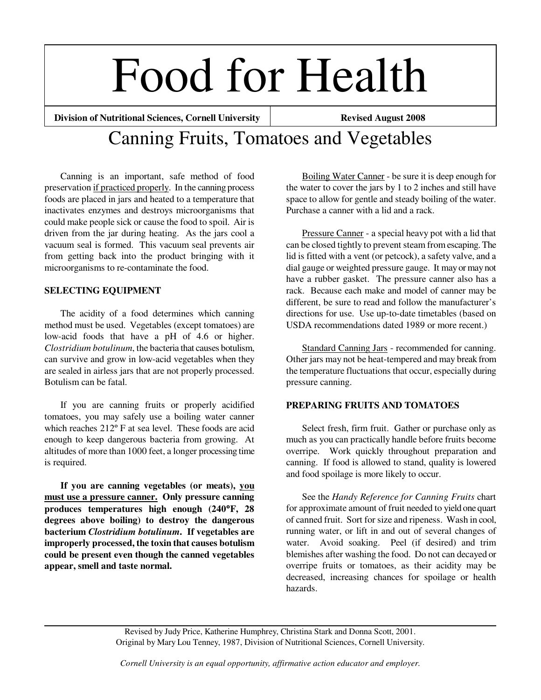# Food for Health

**Division of Nutritional Sciences, Cornell University | Revised August 2008** 

# Canning Fruits, Tomatoes and Vegetables

 Canning is an important, safe method of food preservation if practiced properly. In the canning process foods are placed in jars and heated to a temperature that inactivates enzymes and destroys microorganisms that could make people sick or cause the food to spoil. Air is driven from the jar during heating. As the jars cool a vacuum seal is formed. This vacuum seal prevents air from getting back into the product bringing with it microorganisms to re-contaminate the food.

# **SELECTING EQUIPMENT**

 The acidity of a food determines which canning method must be used. Vegetables (except tomatoes) are low-acid foods that have a pH of 4.6 or higher. *Clostridium botulinum*, the bacteria that causes botulism, can survive and grow in low-acid vegetables when they are sealed in airless jars that are not properly processed. Botulism can be fatal.

 If you are canning fruits or properly acidified tomatoes, you may safely use a boiling water canner which reaches 212º F at sea level. These foods are acid enough to keep dangerous bacteria from growing. At altitudes of more than 1000 feet, a longer processing time is required.

 **If you are canning vegetables (or meats), you must use a pressure canner. Only pressure canning produces temperatures high enough (240**°**F, 28 degrees above boiling) to destroy the dangerous bacterium** *Clostridium botulinum***. If vegetables are improperly processed, the toxin that causes botulism could be present even though the canned vegetables appear, smell and taste normal.** 

Boiling Water Canner - be sure it is deep enough for the water to cover the jars by 1 to 2 inches and still have space to allow for gentle and steady boiling of the water. Purchase a canner with a lid and a rack.

Pressure Canner - a special heavy pot with a lid that can be closed tightly to prevent steam from escaping. The lid is fitted with a vent (or petcock), a safety valve, and a dial gauge or weighted pressure gauge. It may or may not have a rubber gasket. The pressure canner also has a rack. Because each make and model of canner may be different, be sure to read and follow the manufacturer's directions for use. Use up-to-date timetables (based on USDA recommendations dated 1989 or more recent.)

 Standard Canning Jars - recommended for canning. Other jars may not be heat-tempered and may break from the temperature fluctuations that occur, especially during pressure canning.

# **PREPARING FRUITS AND TOMATOES**

 Select fresh, firm fruit. Gather or purchase only as much as you can practically handle before fruits become overripe. Work quickly throughout preparation and canning. If food is allowed to stand, quality is lowered and food spoilage is more likely to occur.

 See the *Handy Reference for Canning Fruits* chart for approximate amount of fruit needed to yield one quart of canned fruit. Sort for size and ripeness. Wash in cool, running water, or lift in and out of several changes of water. Avoid soaking. Peel (if desired) and trim blemishes after washing the food. Do not can decayed or overripe fruits or tomatoes, as their acidity may be decreased, increasing chances for spoilage or health hazards.

Revised by Judy Price, Katherine Humphrey, Christina Stark and Donna Scott, 2001. Original by Mary Lou Tenney, 1987, Division of Nutritional Sciences, Cornell University.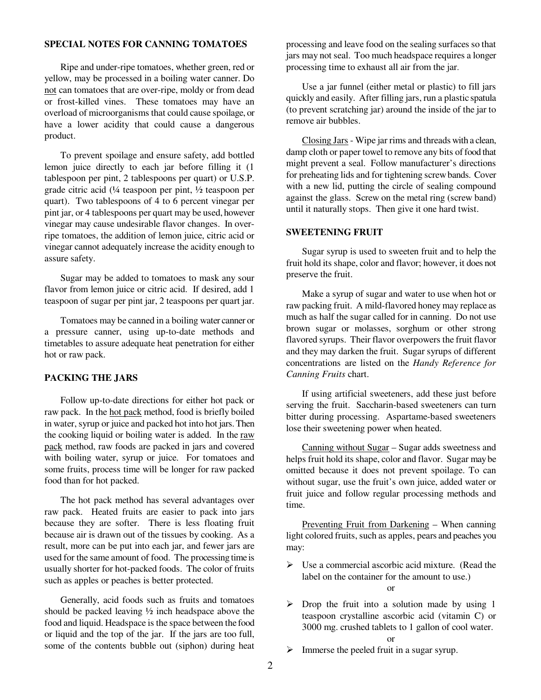#### **SPECIAL NOTES FOR CANNING TOMATOES**

 Ripe and under-ripe tomatoes, whether green, red or yellow, may be processed in a boiling water canner. Do not can tomatoes that are over-ripe, moldy or from dead or frost-killed vines. These tomatoes may have an overload of microorganisms that could cause spoilage, or have a lower acidity that could cause a dangerous product.

 To prevent spoilage and ensure safety, add bottled lemon juice directly to each jar before filling it (1 tablespoon per pint, 2 tablespoons per quart) or U.S.P. grade citric acid (¼ teaspoon per pint, ½ teaspoon per quart). Two tablespoons of 4 to 6 percent vinegar per pint jar, or 4 tablespoons per quart may be used, however vinegar may cause undesirable flavor changes. In overripe tomatoes, the addition of lemon juice, citric acid or vinegar cannot adequately increase the acidity enough to assure safety.

 Sugar may be added to tomatoes to mask any sour flavor from lemon juice or citric acid. If desired, add 1 teaspoon of sugar per pint jar, 2 teaspoons per quart jar.

 Tomatoes may be canned in a boiling water canner or a pressure canner, using up-to-date methods and timetables to assure adequate heat penetration for either hot or raw pack.

## **PACKING THE JARS**

 Follow up-to-date directions for either hot pack or raw pack. In the hot pack method, food is briefly boiled in water, syrup or juice and packed hot into hot jars. Then the cooking liquid or boiling water is added. In the raw pack method, raw foods are packed in jars and covered with boiling water, syrup or juice. For tomatoes and some fruits, process time will be longer for raw packed food than for hot packed.

 The hot pack method has several advantages over raw pack. Heated fruits are easier to pack into jars because they are softer. There is less floating fruit because air is drawn out of the tissues by cooking. As a result, more can be put into each jar, and fewer jars are used for the same amount of food. The processing time is usually shorter for hot-packed foods. The color of fruits such as apples or peaches is better protected.

 Generally, acid foods such as fruits and tomatoes should be packed leaving ½ inch headspace above the food and liquid. Headspace is the space between the food or liquid and the top of the jar. If the jars are too full, some of the contents bubble out (siphon) during heat

processing and leave food on the sealing surfaces so that jars may not seal. Too much headspace requires a longer processing time to exhaust all air from the jar.

Use a jar funnel (either metal or plastic) to fill jars quickly and easily. After filling jars, run a plastic spatula (to prevent scratching jar) around the inside of the jar to remove air bubbles.

 Closing Jars - Wipe jar rims and threads with a clean, damp cloth or paper towel to remove any bits of food that might prevent a seal. Follow manufacturer's directions for preheating lids and for tightening screw bands. Cover with a new lid, putting the circle of sealing compound against the glass. Screw on the metal ring (screw band) until it naturally stops. Then give it one hard twist.

#### **SWEETENING FRUIT**

 Sugar syrup is used to sweeten fruit and to help the fruit hold its shape, color and flavor; however, it does not preserve the fruit.

 Make a syrup of sugar and water to use when hot or raw packing fruit. A mild-flavored honey may replace as much as half the sugar called for in canning. Do not use brown sugar or molasses, sorghum or other strong flavored syrups. Their flavor overpowers the fruit flavor and they may darken the fruit. Sugar syrups of different concentrations are listed on the *Handy Reference for Canning Fruits* chart.

 If using artificial sweeteners, add these just before serving the fruit. Saccharin-based sweeteners can turn bitter during processing. Aspartame-based sweeteners lose their sweetening power when heated.

 Canning without Sugar – Sugar adds sweetness and helps fruit hold its shape, color and flavor. Sugar may be omitted because it does not prevent spoilage. To can without sugar, use the fruit's own juice, added water or fruit juice and follow regular processing methods and time.

 Preventing Fruit from Darkening – When canning light colored fruits, such as apples, pears and peaches you may:

 $\triangleright$  Use a commercial ascorbic acid mixture. (Read the label on the container for the amount to use.)

or

 $\triangleright$  Drop the fruit into a solution made by using 1 teaspoon crystalline ascorbic acid (vitamin C) or 3000 mg. crushed tablets to 1 gallon of cool water.

or

 $\triangleright$  Immerse the peeled fruit in a sugar syrup.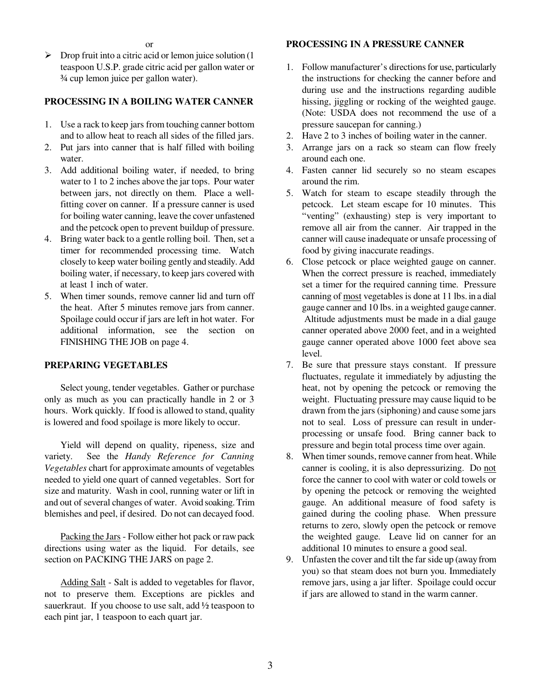$\triangleright$  Drop fruit into a citric acid or lemon juice solution (1) teaspoon U.S.P. grade citric acid per gallon water or ¾ cup lemon juice per gallon water).

# **PROCESSING IN A BOILING WATER CANNER**

- 1. Use a rack to keep jars from touching canner bottom and to allow heat to reach all sides of the filled jars.
- 2. Put jars into canner that is half filled with boiling water.
- 3. Add additional boiling water, if needed, to bring water to 1 to 2 inches above the jar tops. Pour water between jars, not directly on them. Place a wellfitting cover on canner. If a pressure canner is used for boiling water canning, leave the cover unfastened and the petcock open to prevent buildup of pressure.
- 4. Bring water back to a gentle rolling boil. Then, set a timer for recommended processing time. Watch closely to keep water boiling gently and steadily. Add boiling water, if necessary, to keep jars covered with at least 1 inch of water.
- 5. When timer sounds, remove canner lid and turn off the heat. After 5 minutes remove jars from canner. Spoilage could occur if jars are left in hot water. For additional information, see the section on FINISHING THE JOB on page 4.

## **PREPARING VEGETABLES**

 Select young, tender vegetables. Gather or purchase only as much as you can practically handle in 2 or 3 hours. Work quickly. If food is allowed to stand, quality is lowered and food spoilage is more likely to occur.

 Yield will depend on quality, ripeness, size and variety. See the *Handy Reference for Canning Vegetables* chart for approximate amounts of vegetables needed to yield one quart of canned vegetables. Sort for size and maturity. Wash in cool, running water or lift in and out of several changes of water. Avoid soaking. Trim blemishes and peel, if desired. Do not can decayed food.

 Packing the Jars - Follow either hot pack or raw pack directions using water as the liquid. For details, see section on PACKING THE JARS on page 2.

 Adding Salt - Salt is added to vegetables for flavor, not to preserve them. Exceptions are pickles and sauerkraut. If you choose to use salt, add ½ teaspoon to each pint jar, 1 teaspoon to each quart jar.

# **PROCESSING IN A PRESSURE CANNER**

- 1. Follow manufacturer's directions for use, particularly the instructions for checking the canner before and during use and the instructions regarding audible hissing, jiggling or rocking of the weighted gauge. (Note: USDA does not recommend the use of a pressure saucepan for canning.)
- 2. Have 2 to 3 inches of boiling water in the canner.
- 3. Arrange jars on a rack so steam can flow freely around each one.
- 4. Fasten canner lid securely so no steam escapes around the rim.
- 5. Watch for steam to escape steadily through the petcock. Let steam escape for 10 minutes. This "venting" (exhausting) step is very important to remove all air from the canner. Air trapped in the canner will cause inadequate or unsafe processing of food by giving inaccurate readings.
- 6. Close petcock or place weighted gauge on canner. When the correct pressure is reached, immediately set a timer for the required canning time. Pressure canning of most vegetables is done at 11 lbs. in a dial gauge canner and 10 lbs. in a weighted gauge canner. Altitude adjustments must be made in a dial gauge canner operated above 2000 feet, and in a weighted gauge canner operated above 1000 feet above sea level.
- 7. Be sure that pressure stays constant. If pressure fluctuates, regulate it immediately by adjusting the heat, not by opening the petcock or removing the weight. Fluctuating pressure may cause liquid to be drawn from the jars (siphoning) and cause some jars not to seal. Loss of pressure can result in underprocessing or unsafe food. Bring canner back to pressure and begin total process time over again.
- 8. When timer sounds, remove canner from heat. While canner is cooling, it is also depressurizing. Do not force the canner to cool with water or cold towels or by opening the petcock or removing the weighted gauge. An additional measure of food safety is gained during the cooling phase. When pressure returns to zero, slowly open the petcock or remove the weighted gauge. Leave lid on canner for an additional 10 minutes to ensure a good seal.
- 9. Unfasten the cover and tilt the far side up (away from you) so that steam does not burn you. Immediately remove jars, using a jar lifter. Spoilage could occur if jars are allowed to stand in the warm canner.